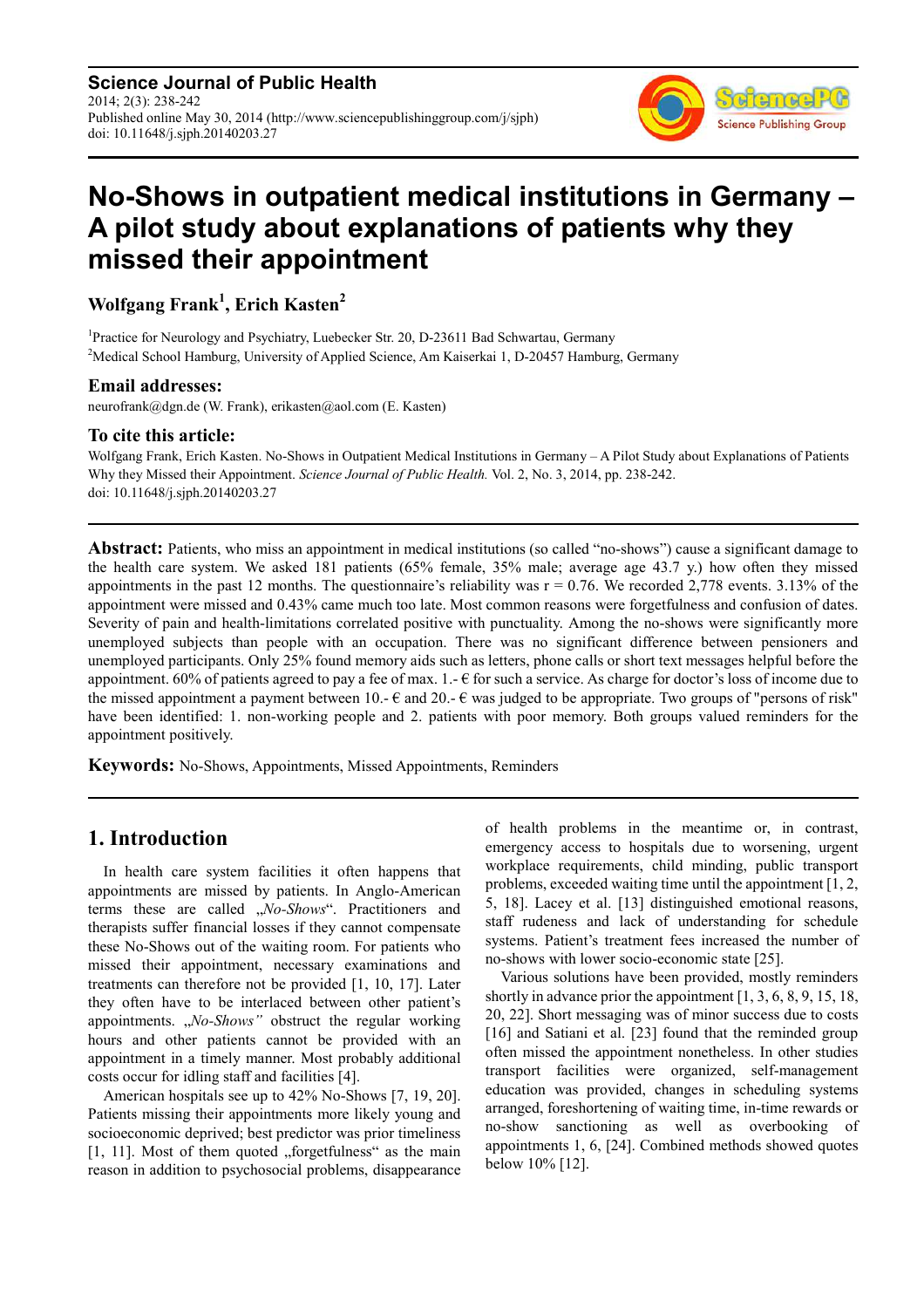**Science Journal of Public Health** 2014; 2(3): 238-242 Published online May 30, 2014 (http://www.sciencepublishinggroup.com/j/sjph) doi: 10.11648/j.sjph.20140203.27



# **No-Shows in outpatient medical institutions in Germany – A pilot study about explanations of patients why they missed their appointment**

# **Wolfgang Frank<sup>1</sup> , Erich Kasten<sup>2</sup>**

<sup>1</sup>Practice for Neurology and Psychiatry, Luebecker Str. 20, D-23611 Bad Schwartau, Germany <sup>2</sup>Medical School Hamburg, University of Applied Science, Am Kaiserkai 1, D-20457 Hamburg, Germany

#### **Email addresses:**

neurofrank@dgn.de (W. Frank), erikasten@aol.com (E. Kasten)

#### **To cite this article:**

Wolfgang Frank, Erich Kasten. No-Shows in Outpatient Medical Institutions in Germany – A Pilot Study about Explanations of Patients Why they Missed their Appointment. *Science Journal of Public Health.* Vol. 2, No. 3, 2014, pp. 238-242. doi: 10.11648/j.sjph.20140203.27

**Abstract:** Patients, who miss an appointment in medical institutions (so called "no-shows") cause a significant damage to the health care system. We asked 181 patients (65% female, 35% male; average age 43.7 y.) how often they missed appointments in the past 12 months. The questionnaire's reliability was  $r = 0.76$ . We recorded 2,778 events. 3.13% of the appointment were missed and 0.43% came much too late. Most common reasons were forgetfulness and confusion of dates. Severity of pain and health-limitations correlated positive with punctuality. Among the no-shows were significantly more unemployed subjects than people with an occupation. There was no significant difference between pensioners and unemployed participants. Only 25% found memory aids such as letters, phone calls or short text messages helpful before the appointment. 60% of patients agreed to pay a fee of max.  $1 - \epsilon$  for such a service. As charge for doctor's loss of income due to the missed appointment a payment between 10.-  $\epsilon$  and 20.-  $\epsilon$  was judged to be appropriate. Two groups of "persons of risk" have been identified: 1. non-working people and 2. patients with poor memory. Both groups valued reminders for the appointment positively.

**Keywords:** No-Shows, Appointments, Missed Appointments, Reminders

# **1. Introduction**

In health care system facilities it often happens that appointments are missed by patients. In Anglo-American terms these are called "*No-Shows*". Practitioners and therapists suffer financial losses if they cannot compensate these No-Shows out of the waiting room. For patients who missed their appointment, necessary examinations and treatments can therefore not be provided [1, 10, 17]. Later they often have to be interlaced between other patient's appointments. "*No-Shows*" obstruct the regular working hours and other patients cannot be provided with an appointment in a timely manner. Most probably additional costs occur for idling staff and facilities [4].

American hospitals see up to 42% No-Shows [7, 19, 20]. Patients missing their appointments more likely young and socioeconomic deprived; best predictor was prior timeliness  $[1, 11]$ . Most of them quoted "forgetfulness" as the main reason in addition to psychosocial problems, disappearance of health problems in the meantime or, in contrast, emergency access to hospitals due to worsening, urgent workplace requirements, child minding, public transport problems, exceeded waiting time until the appointment [1, 2, 5, 18]. Lacey et al. [13] distinguished emotional reasons, staff rudeness and lack of understanding for schedule systems. Patient's treatment fees increased the number of no-shows with lower socio-economic state [25].

Various solutions have been provided, mostly reminders shortly in advance prior the appointment [1, 3, 6, 8, 9, 15, 18, 20, 22]. Short messaging was of minor success due to costs [16] and Satiani et al. [23] found that the reminded group often missed the appointment nonetheless. In other studies transport facilities were organized, self-management education was provided, changes in scheduling systems arranged, foreshortening of waiting time, in-time rewards or no-show sanctioning as well as overbooking of appointments 1, 6, [24]. Combined methods showed quotes below 10% [12].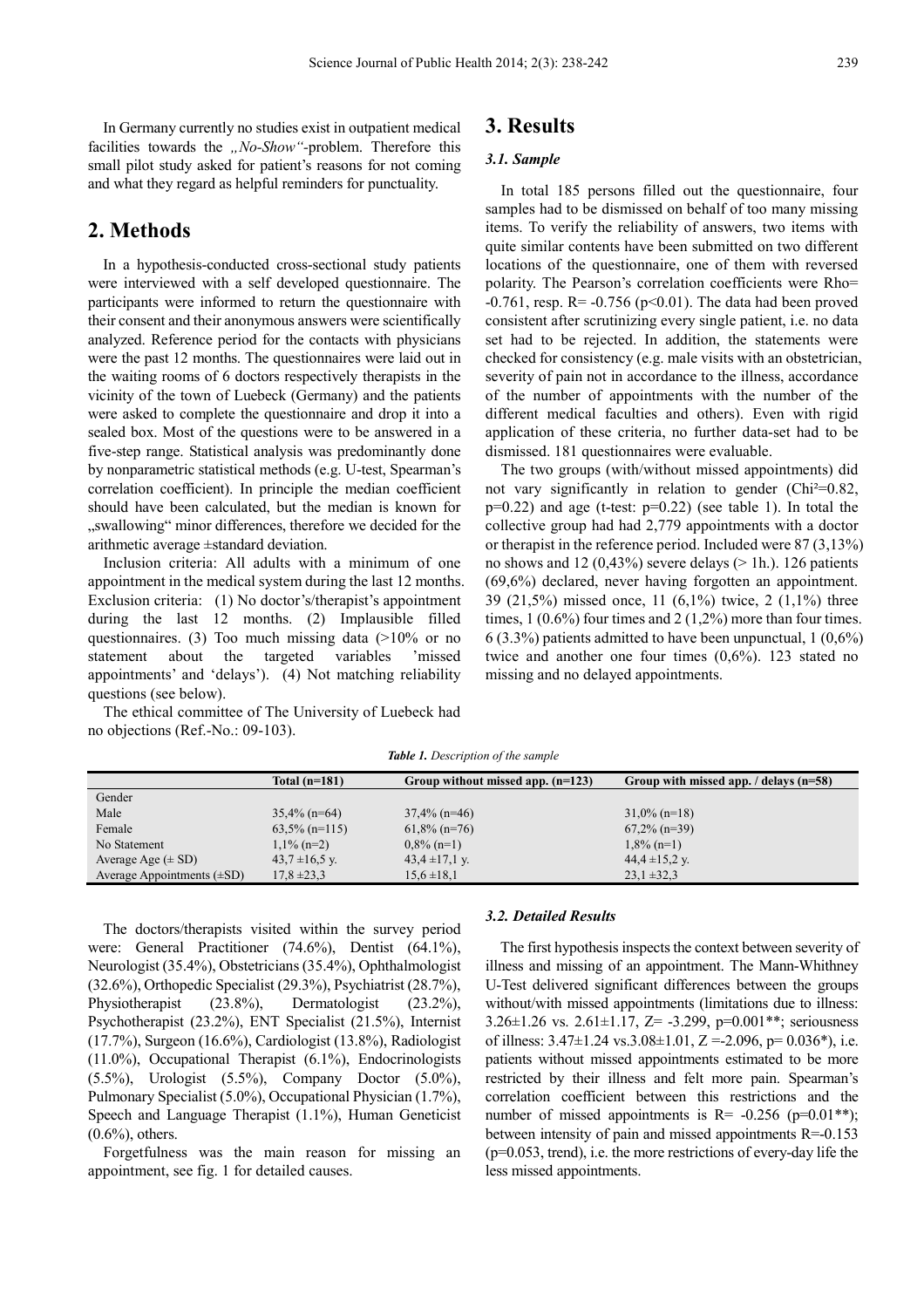In Germany currently no studies exist in outpatient medical facilities towards the *"No-Show*"-problem. Therefore this small pilot study asked for patient's reasons for not coming and what they regard as helpful reminders for punctuality.

## **2. Methods**

In a hypothesis-conducted cross-sectional study patients were interviewed with a self developed questionnaire. The participants were informed to return the questionnaire with their consent and their anonymous answers were scientifically analyzed. Reference period for the contacts with physicians were the past 12 months. The questionnaires were laid out in the waiting rooms of 6 doctors respectively therapists in the vicinity of the town of Luebeck (Germany) and the patients were asked to complete the questionnaire and drop it into a sealed box. Most of the questions were to be answered in a five-step range. Statistical analysis was predominantly done by nonparametric statistical methods (e.g. U-test, Spearman's correlation coefficient). In principle the median coefficient should have been calculated, but the median is known for "swallowing" minor differences, therefore we decided for the arithmetic average ±standard deviation.

Inclusion criteria: All adults with a minimum of one appointment in the medical system during the last 12 months. Exclusion criteria: (1) No doctor's/therapist's appointment during the last 12 months. (2) Implausible filled questionnaires. (3) Too much missing data  $(>10\%$  or no statement about the targeted variables 'missed appointments' and 'delays'). (4) Not matching reliability questions (see below).

The ethical committee of The University of Luebeck had no objections (Ref.-No.: 09-103).

### **3. Results**

#### *3.1. Sample*

In total 185 persons filled out the questionnaire, four samples had to be dismissed on behalf of too many missing items. To verify the reliability of answers, two items with quite similar contents have been submitted on two different locations of the questionnaire, one of them with reversed polarity. The Pearson's correlation coefficients were Rho=  $-0.761$ , resp. R=  $-0.756$  (p<0.01). The data had been proved consistent after scrutinizing every single patient, i.e. no data set had to be rejected. In addition, the statements were checked for consistency (e.g. male visits with an obstetrician, severity of pain not in accordance to the illness, accordance of the number of appointments with the number of the different medical faculties and others). Even with rigid application of these criteria, no further data-set had to be dismissed. 181 questionnaires were evaluable.

The two groups (with/without missed appointments) did not vary significantly in relation to gender (Chi<sup>2=0.82</sup>,  $p=0.22$ ) and age (t-test:  $p=0.22$ ) (see table 1). In total the collective group had had 2,779 appointments with a doctor or therapist in the reference period. Included were 87 (3,13%) no shows and 12 (0,43%) severe delays ( $> 1h$ ). 126 patients (69,6%) declared, never having forgotten an appointment. 39 (21,5%) missed once, 11 (6,1%) twice, 2 (1,1%) three times,  $1(0.6\%)$  four times and  $2(1,2\%)$  more than four times. 6 (3.3%) patients admitted to have been unpunctual, 1 (0,6%) twice and another one four times (0,6%). 123 stated no missing and no delayed appointments.

*Table 1. Description of the sample* 

The doctors/therapists visited within the survey period were: General Practitioner (74.6%), Dentist (64.1%), Neurologist (35.4%), Obstetricians (35.4%), Ophthalmologist (32.6%), Orthopedic Specialist (29.3%), Psychiatrist (28.7%), Physiotherapist (23.8%), Dermatologist (23.2%), Psychotherapist (23.2%), ENT Specialist (21.5%), Internist (17.7%), Surgeon (16.6%), Cardiologist (13.8%), Radiologist (11.0%), Occupational Therapist (6.1%), Endocrinologists (5.5%), Urologist (5.5%), Company Doctor (5.0%), Pulmonary Specialist (5.0%), Occupational Physician (1.7%), Speech and Language Therapist (1.1%), Human Geneticist  $(0.6\%)$ , others.

Forgetfulness was the main reason for missing an appointment, see fig. 1 for detailed causes.

#### *3.2. Detailed Results*

The first hypothesis inspects the context between severity of illness and missing of an appointment. The Mann-Whithney U-Test delivered significant differences between the groups without/with missed appointments (limitations due to illness: 3.26 $\pm$ 1.26 vs. 2.61 $\pm$ 1.17, Z= -3.299, p=0.001\*\*; seriousness of illness:  $3.47 \pm 1.24$  vs.  $3.08 \pm 1.01$ ,  $Z = 2.096$ , p=  $0.036$ <sup>\*</sup>), i.e. patients without missed appointments estimated to be more restricted by their illness and felt more pain. Spearman's correlation coefficient between this restrictions and the number of missed appointments is  $R = -0.256$  (p=0.01<sup>\*\*</sup>); between intensity of pain and missed appointments R=-0.153 (p=0.053, trend), i.e. the more restrictions of every-day life the less missed appointments.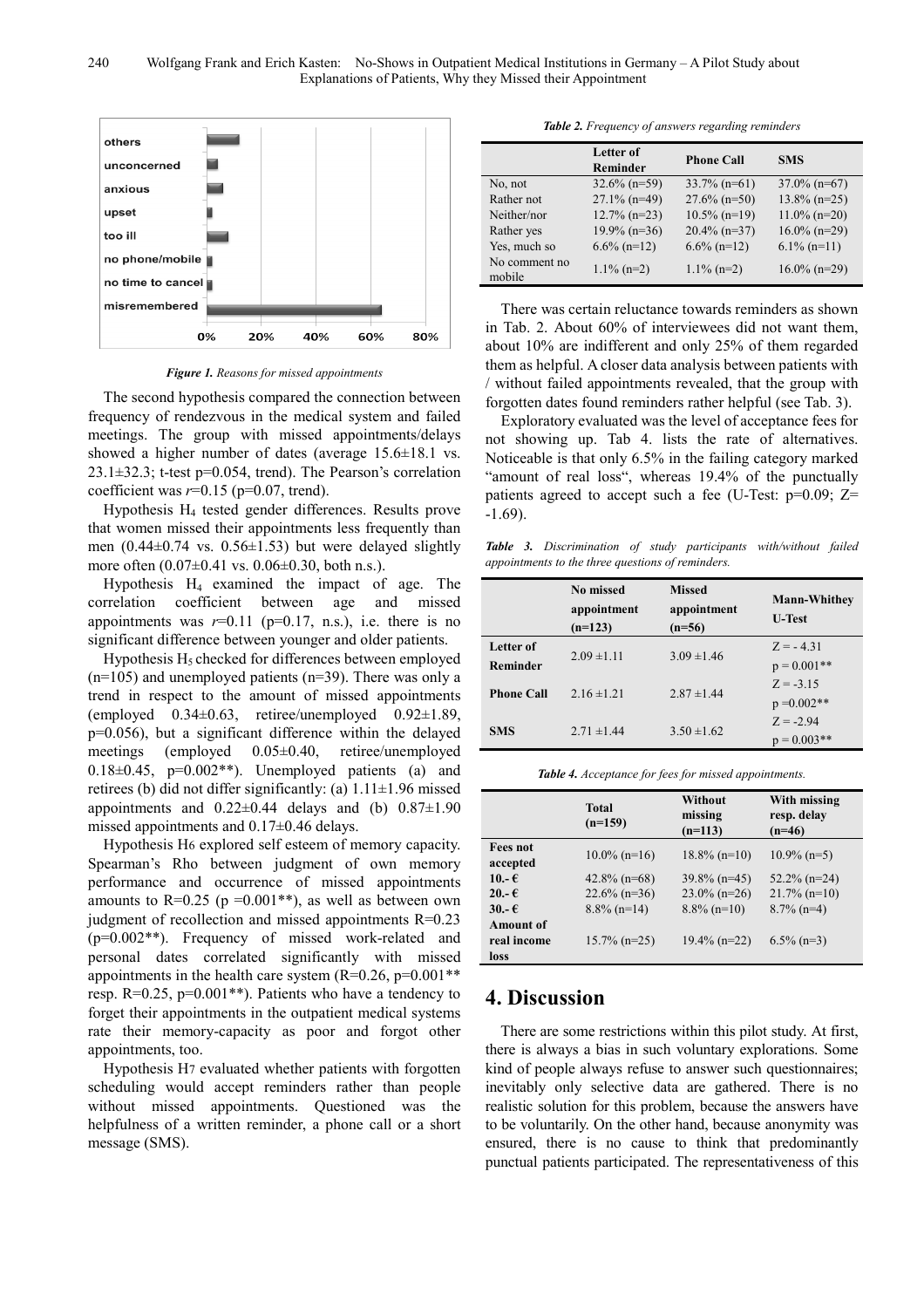

*Figure 1. Reasons for missed appointments* 

The second hypothesis compared the connection between frequency of rendezvous in the medical system and failed meetings. The group with missed appointments/delays showed a higher number of dates (average  $15.6\pm18.1$  vs. 23.1±32.3; t-test p=0.054, trend). The Pearson's correlation coefficient was *r*=0.15 (p=0.07, trend).

Hypothesis  $H_4$  tested gender differences. Results prove that women missed their appointments less frequently than men  $(0.44\pm0.74 \text{ vs. } 0.56\pm1.53)$  but were delayed slightly more often  $(0.07\pm0.41 \text{ vs. } 0.06\pm0.30, \text{ both n.s.})$ .

Hypothesis  $H_4$  examined the impact of age. The correlation coefficient between age and missed appointments was  $r=0.11$  ( $p=0.17$ , n.s.), i.e. there is no significant difference between younger and older patients.

Hypothesis  $H_5$  checked for differences between employed  $(n=105)$  and unemployed patients  $(n=39)$ . There was only a trend in respect to the amount of missed appointments (employed  $0.34\pm0.63$ , retiree/unemployed  $0.92\pm1.89$ , p=0.056), but a significant difference within the delayed meetings (employed 0.05±0.40, retiree/unemployed  $0.18\pm0.45$ ,  $p=0.002**$ ). Unemployed patients (a) and retirees (b) did not differ significantly: (a)  $1.11 \pm 1.96$  missed appointments and  $0.22\pm0.44$  delays and (b)  $0.87\pm1.90$ missed appointments and 0.17±0.46 delays.

Hypothesis H6 explored self esteem of memory capacity. Spearman's Rho between judgment of own memory performance and occurrence of missed appointments amounts to  $R=0.25$  (p =0.001<sup>\*\*</sup>), as well as between own judgment of recollection and missed appointments R=0.23 (p=0.002\*\*). Frequency of missed work-related and personal dates correlated significantly with missed appointments in the health care system  $(R=0.26, p=0.001**$ resp. R=0.25, p=0.001\*\*). Patients who have a tendency to forget their appointments in the outpatient medical systems rate their memory-capacity as poor and forgot other appointments, too.

Hypothesis H7 evaluated whether patients with forgotten scheduling would accept reminders rather than people without missed appointments. Questioned was the helpfulness of a written reminder, a phone call or a short message (SMS).

*Table 2. Frequency of answers regarding reminders* 

|                         | Letter of<br><b>Reminder</b> | <b>Phone Call</b> | <b>SMS</b>      |
|-------------------------|------------------------------|-------------------|-----------------|
| No, not                 | $32.6\%$ (n=59)              | $33.7\%$ (n=61)   | $37.0\%$ (n=67) |
| Rather not              | $27.1\%$ (n=49)              | $27.6\%$ (n=50)   | $13.8\%$ (n=25) |
| Neither/nor             | $12.7\%$ (n=23)              | $10.5\%$ (n=19)   | $11.0\%$ (n=20) |
| Rather yes              | $19.9\%$ (n=36)              | $20.4\%$ (n=37)   | $16.0\%$ (n=29) |
| Yes, much so            | $6.6\%$ (n=12)               | $6.6\%$ (n=12)    | $6.1\%$ (n=11)  |
| No comment no<br>mobile | $1.1\%$ (n=2)                | $1.1\%$ (n=2)     | $16.0\%$ (n=29) |

There was certain reluctance towards reminders as shown in Tab. 2. About 60% of interviewees did not want them, about 10% are indifferent and only 25% of them regarded them as helpful. A closer data analysis between patients with / without failed appointments revealed, that the group with forgotten dates found reminders rather helpful (see Tab. 3).

Exploratory evaluated was the level of acceptance fees for not showing up. Tab 4. lists the rate of alternatives. Noticeable is that only 6.5% in the failing category marked "amount of real loss", whereas 19.4% of the punctually patients agreed to accept such a fee (U-Test:  $p=0.09$ ; Z= -1.69).

*Table 3. Discrimination of study participants with/without failed appointments to the three questions of reminders.* 

|                              | <b>No missed</b><br>appointment<br>$(n=123)$ | <b>Missed</b><br>appointment<br>$(n=56)$ | <b>Mann-Whithey</b><br><b>U-Test</b> |
|------------------------------|----------------------------------------------|------------------------------------------|--------------------------------------|
| Letter of<br><b>Reminder</b> | $2.09 \pm 1.11$                              | $3.09 \pm 1.46$                          | $Z = -4.31$<br>$p = 0.001**$         |
| <b>Phone Call</b>            | $2.16 \pm 1.21$                              | $2.87 \pm 1.44$                          | $Z = -3.15$<br>$p = 0.002**$         |
| <b>SMS</b>                   | $2.71 \pm 1.44$                              | $3.50 \pm 1.62$                          | $Z = -2.94$<br>$p = 0.003**$         |

*Table 4. Acceptance for fees for missed appointments.* 

|                             | <b>Total</b><br>$(n=159)$ | Without<br>missing<br>$(n=113)$ | With missing<br>resp. delay<br>$(n=46)$ |
|-----------------------------|---------------------------|---------------------------------|-----------------------------------------|
| <b>Fees not</b><br>accepted | $10.0\%$ (n=16)           | $18.8\%$ (n=10)                 | $10.9\%$ (n=5)                          |
| 10.- $\epsilon$             | $42.8\%$ (n=68)           | $39.8\%$ (n=45)                 | $52.2\%$ (n=24)                         |
| $20 - E$                    | $22.6\%$ (n=36)           | $23.0\%$ (n=26)                 | $21.7\%$ (n=10)                         |
| $30.-€$                     | $8.8\%$ (n=14)            | $8.8\%$ (n=10)                  | $8.7\%$ (n=4)                           |
| <b>Amount of</b>            |                           |                                 |                                         |
| real income                 | $15.7\%$ (n=25)           | $19.4\%$ (n=22)                 | $6.5\%$ (n=3)                           |
| loss                        |                           |                                 |                                         |

## **4. Discussion**

There are some restrictions within this pilot study. At first, there is always a bias in such voluntary explorations. Some kind of people always refuse to answer such questionnaires; inevitably only selective data are gathered. There is no realistic solution for this problem, because the answers have to be voluntarily. On the other hand, because anonymity was ensured, there is no cause to think that predominantly punctual patients participated. The representativeness of this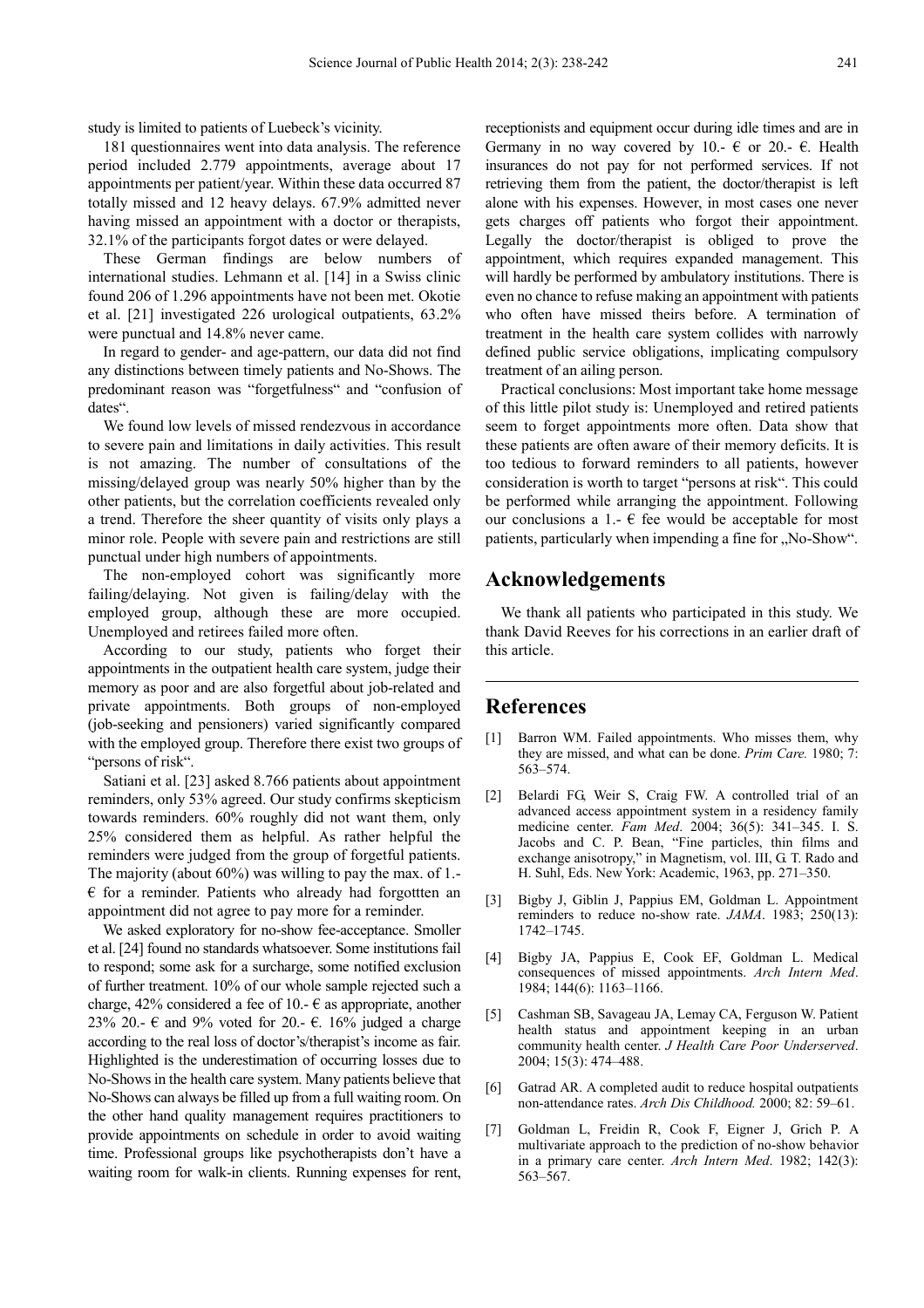study is limited to patients of Luebeck's vicinity.

181 questionnaires went into data analysis. The reference period included 2.779 appointments, average about 17 appointments per patient/year. Within these data occurred 87 totally missed and 12 heavy delays. 67.9% admitted never having missed an appointment with a doctor or therapists, 32.1% of the participants forgot dates or were delayed.

These German findings are below numbers of international studies. Lehmann et al. [14] in a Swiss clinic found 206 of 1.296 appointments have not been met. Okotie et al. [21] investigated 226 urological outpatients, 63.2% were punctual and 14.8% never came.

In regard to gender- and age-pattern, our data did not find any distinctions between timely patients and No-Shows. The predominant reason was "forgetfulness" and "confusion of dates".

We found low levels of missed rendezvous in accordance to severe pain and limitations in daily activities. This result is not amazing. The number of consultations of the missing/delayed group was nearly 50% higher than by the other patients, but the correlation coefficients revealed only a trend. Therefore the sheer quantity of visits only plays a minor role. People with severe pain and restrictions are still punctual under high numbers of appointments.

The non-employed cohort was significantly more failing/delaying. Not given is failing/delay with the employed group, although these are more occupied. Unemployed and retirees failed more often.

According to our study, patients who forget their appointments in the outpatient health care system, judge their memory as poor and are also forgetful about job-related and private appointments. Both groups of non-employed (job-seeking and pensioners) varied significantly compared with the employed group. Therefore there exist two groups of "persons of risk".

Satiani et al. [23] asked 8.766 patients about appointment reminders, only 53% agreed. Our study confirms skepticism towards reminders. 60% roughly did not want them, only 25% considered them as helpful. As rather helpful the reminders were judged from the group of forgetful patients. The majority (about 60%) was willing to pay the max. of 1.-  $\epsilon$  for a reminder. Patients who already had forgottten an appointment did not agree to pay more for a reminder.

We asked exploratory for no-show fee-acceptance. Smoller et al. [24] found no standards whatsoever. Some institutions fail to respond; some ask for a surcharge, some notified exclusion of further treatment. 10% of our whole sample rejected such a charge, 42% considered a fee of 10.-  $\epsilon$  as appropriate, another 23% 20.-  $\epsilon$  and 9% voted for 20.-  $\epsilon$ . 16% judged a charge according to the real loss of doctor's/therapist's income as fair. Highlighted is the underestimation of occurring losses due to No-Shows in the health care system. Many patients believe that No-Shows can always be filled up from a full waiting room. On the other hand quality management requires practitioners to provide appointments on schedule in order to avoid waiting time. Professional groups like psychotherapists don't have a waiting room for walk-in clients. Running expenses for rent,

receptionists and equipment occur during idle times and are in Germany in no way covered by 10.-  $\epsilon$  or 20.-  $\epsilon$ . Health insurances do not pay for not performed services. If not retrieving them from the patient, the doctor/therapist is left alone with his expenses. However, in most cases one never gets charges off patients who forgot their appointment. Legally the doctor/therapist is obliged to prove the appointment, which requires expanded management. This will hardly be performed by ambulatory institutions. There is even no chance to refuse making an appointment with patients who often have missed theirs before. A termination of treatment in the health care system collides with narrowly defined public service obligations, implicating compulsory treatment of an ailing person.

Practical conclusions: Most important take home message of this little pilot study is: Unemployed and retired patients seem to forget appointments more often. Data show that these patients are often aware of their memory deficits. It is too tedious to forward reminders to all patients, however consideration is worth to target "persons at risk". This could be performed while arranging the appointment. Following our conclusions a 1.-  $\epsilon$  fee would be acceptable for most patients, particularly when impending a fine for "No-Show".

## **Acknowledgements**

We thank all patients who participated in this study. We thank David Reeves for his corrections in an earlier draft of this article.

## **References**

- Barron WM. Failed appointments. Who misses them, why they are missed, and what can be done. *Prim Care.* 1980; 7: 563–574.
- [2] Belardi FG, Weir S, Craig FW. A controlled trial of an advanced access appointment system in a residency family medicine center. *Fam Med*. 2004; 36(5): 341–345. I. S. Jacobs and C. P. Bean, "Fine particles, thin films and exchange anisotropy," in Magnetism, vol. III, G. T. Rado and H. Suhl, Eds. New York: Academic, 1963, pp. 271–350.
- [3] Bigby J, Giblin J, Pappius EM, Goldman L. Appointment reminders to reduce no-show rate. *JAMA*. 1983; 250(13): 1742–1745.
- [4] Bigby JA, Pappius E, Cook EF, Goldman L. Medical consequences of missed appointments. *Arch Intern Med*. 1984; 144(6): 1163–1166.
- [5] Cashman SB, Savageau JA, Lemay CA, Ferguson W. Patient health status and appointment keeping in an urban community health center. *J Health Care Poor Underserved*. 2004; 15(3): 474–488.
- [6] Gatrad AR. A completed audit to reduce hospital outpatients non-attendance rates. *Arch Dis Childhood.* 2000; 82: 59–61.
- [7] Goldman L, Freidin R, Cook F, Eigner J, Grich P. A multivariate approach to the prediction of no-show behavior in a primary care center. *Arch Intern Med*. 1982; 142(3): 563–567.